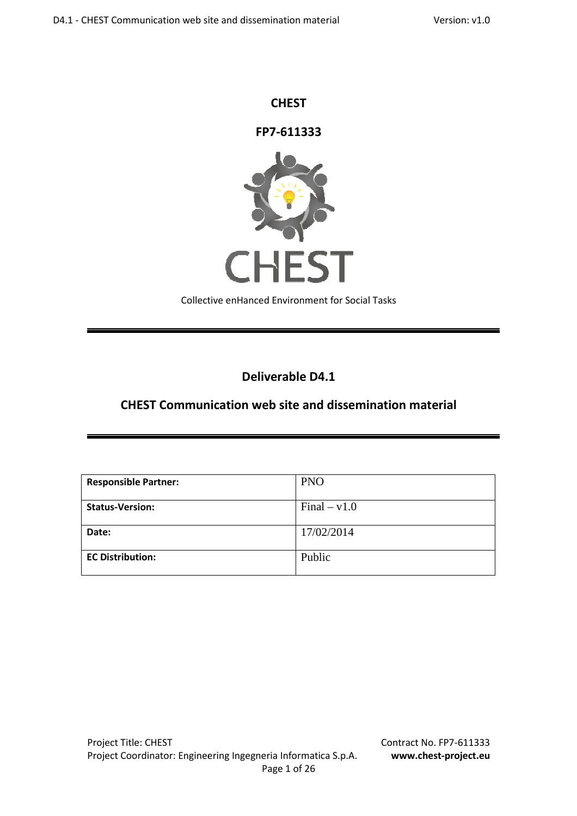### **CHEST**

**FP7-611333**



Collective enHanced Environment for Social Tasks

## **Deliverable D4.1**

## **CHEST Communication web site and dissemination material**

| <b>Responsible Partner:</b> | <b>PNO</b>     |
|-----------------------------|----------------|
| <b>Status-Version:</b>      | $Final - v1.0$ |
| Date:                       | 17/02/2014     |
| <b>EC Distribution:</b>     | Public         |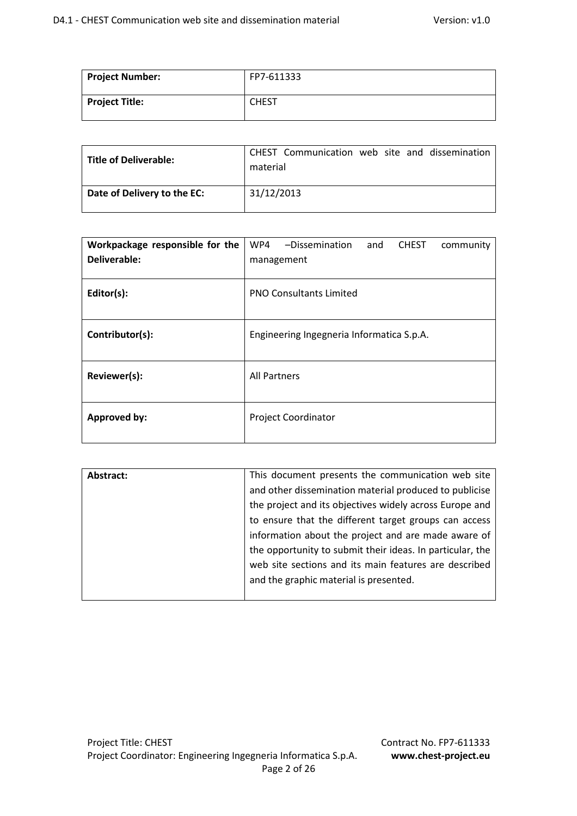| Project Number:       | FP7-611333   |
|-----------------------|--------------|
| <b>Project Title:</b> | <b>CHEST</b> |

| Title of Deliverable:       | CHEST Communication web site and dissemination<br>material |
|-----------------------------|------------------------------------------------------------|
| Date of Delivery to the EC: | 31/12/2013                                                 |

| Workpackage responsible for the | WP4<br>-Dissemination<br>and<br><b>CHEST</b><br>community |  |  |  |
|---------------------------------|-----------------------------------------------------------|--|--|--|
| Deliverable:                    | management                                                |  |  |  |
| Editor(s):                      | <b>PNO Consultants Limited</b>                            |  |  |  |
| Contributor(s):                 | Engineering Ingegneria Informatica S.p.A.                 |  |  |  |
| Reviewer(s):                    | <b>All Partners</b>                                       |  |  |  |
| <b>Approved by:</b>             | <b>Project Coordinator</b>                                |  |  |  |

| Abstract: | This document presents the communication web site         |
|-----------|-----------------------------------------------------------|
|           | and other dissemination material produced to publicise    |
|           | the project and its objectives widely across Europe and   |
|           | to ensure that the different target groups can access     |
|           | information about the project and are made aware of       |
|           | the opportunity to submit their ideas. In particular, the |
|           | web site sections and its main features are described     |
|           | and the graphic material is presented.                    |
|           |                                                           |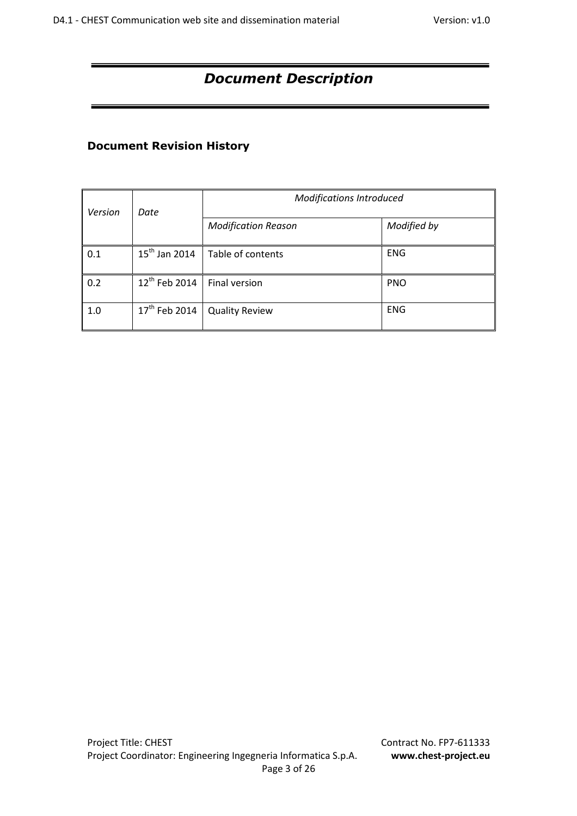# *Document Description*

## **Document Revision History**

| Version | Date                      | <b>Modifications Introduced</b> |             |  |
|---------|---------------------------|---------------------------------|-------------|--|
|         |                           | <b>Modification Reason</b>      | Modified by |  |
| 0.1     | $15^{th}$ Jan 2014        | Table of contents               | <b>ENG</b>  |  |
| 0.2     | 12 <sup>th</sup> Feb 2014 | Final version                   | <b>PNO</b>  |  |
| 1.0     | 17 <sup>th</sup> Feb 2014 | <b>Quality Review</b>           | <b>ENG</b>  |  |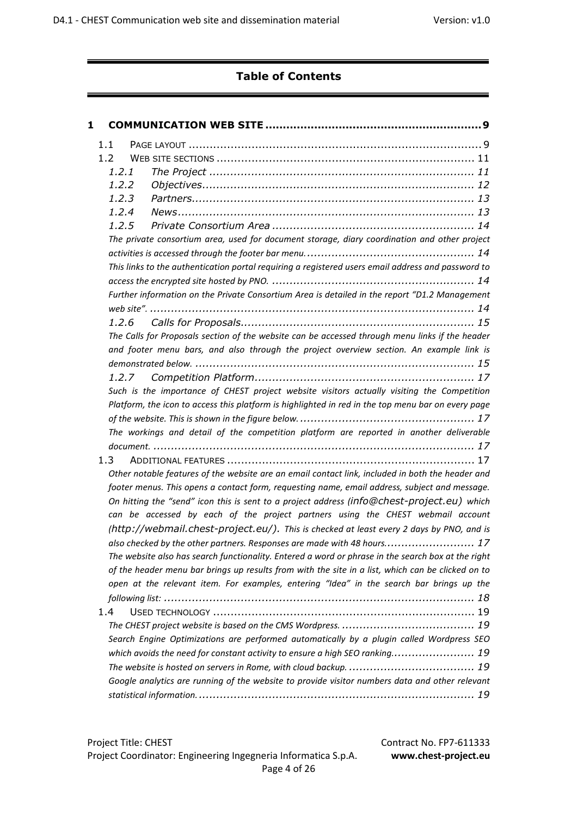# **Table of Contents**

| 1 |                  |                                                                                                                                                                                                         |
|---|------------------|---------------------------------------------------------------------------------------------------------------------------------------------------------------------------------------------------------|
|   | 1.1              |                                                                                                                                                                                                         |
|   | 1.2 <sub>1</sub> |                                                                                                                                                                                                         |
|   | 1.2.1            |                                                                                                                                                                                                         |
|   | 1.2.2            |                                                                                                                                                                                                         |
|   | 1.2.3            |                                                                                                                                                                                                         |
|   | 1.2.4            |                                                                                                                                                                                                         |
|   | 1.2.5            |                                                                                                                                                                                                         |
|   |                  | The private consortium area, used for document storage, diary coordination and other project                                                                                                            |
|   |                  |                                                                                                                                                                                                         |
|   |                  | This links to the authentication portal requiring a registered users email address and password to                                                                                                      |
|   |                  |                                                                                                                                                                                                         |
|   |                  | Further information on the Private Consortium Area is detailed in the report "D1.2 Management                                                                                                           |
|   |                  |                                                                                                                                                                                                         |
|   |                  |                                                                                                                                                                                                         |
|   |                  | The Calls for Proposals section of the website can be accessed through menu links if the header                                                                                                         |
|   |                  | and footer menu bars, and also through the project overview section. An example link is                                                                                                                 |
|   |                  |                                                                                                                                                                                                         |
|   | 1.2.7            |                                                                                                                                                                                                         |
|   |                  | Such is the importance of CHEST project website visitors actually visiting the Competition                                                                                                              |
|   |                  | Platform, the icon to access this platform is highlighted in red in the top menu bar on every page                                                                                                      |
|   |                  |                                                                                                                                                                                                         |
|   |                  | The workings and detail of the competition platform are reported in another deliverable                                                                                                                 |
|   |                  |                                                                                                                                                                                                         |
|   | 1.3              |                                                                                                                                                                                                         |
|   |                  | Other notable features of the website are an email contact link, included in both the header and                                                                                                        |
|   |                  | footer menus. This opens a contact form, requesting name, email address, subject and message.<br>On hitting the "send" icon this is sent to a project address (info@chest-project.eu) which             |
|   |                  | can be accessed by each of the project partners using the CHEST webmail account                                                                                                                         |
|   |                  | (http://webmail.chest-project.eu/). This is checked at least every 2 days by PNO, and is                                                                                                                |
|   |                  | also checked by the other partners. Responses are made with 48 hours 17                                                                                                                                 |
|   |                  |                                                                                                                                                                                                         |
|   |                  | The website also has search functionality. Entered a word or phrase in the search box at the right<br>of the header menu bar brings up results from with the site in a list, which can be clicked on to |
|   |                  | open at the relevant item. For examples, entering "Idea" in the search bar brings up the                                                                                                                |
|   |                  |                                                                                                                                                                                                         |
|   | 1.4              |                                                                                                                                                                                                         |
|   |                  |                                                                                                                                                                                                         |
|   |                  | Search Engine Optimizations are performed automatically by a plugin called Wordpress SEO                                                                                                                |
|   |                  | which avoids the need for constant activity to ensure a high SEO ranking 19                                                                                                                             |
|   |                  |                                                                                                                                                                                                         |
|   |                  | Google analytics are running of the website to provide visitor numbers data and other relevant                                                                                                          |
|   |                  |                                                                                                                                                                                                         |
|   |                  |                                                                                                                                                                                                         |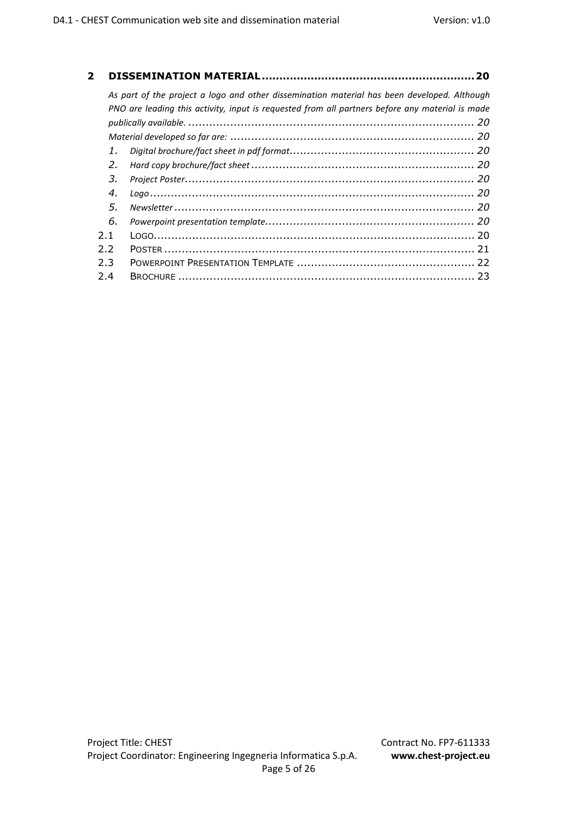| $\mathbf{2}$ |     |                                                                                                 | 20 |
|--------------|-----|-------------------------------------------------------------------------------------------------|----|
|              |     | As part of the project a logo and other dissemination material has been developed. Although     |    |
|              |     | PNO are leading this activity, input is requested from all partners before any material is made |    |
|              |     |                                                                                                 |    |
|              |     |                                                                                                 |    |
|              | 1.  |                                                                                                 |    |
|              | 2.  |                                                                                                 |    |
|              | 3.  |                                                                                                 |    |
|              | 4.  |                                                                                                 |    |
|              | .5. |                                                                                                 |    |
|              | 6.  |                                                                                                 |    |
|              | 2.1 |                                                                                                 |    |
|              | 2.2 |                                                                                                 |    |
|              | 2.3 |                                                                                                 |    |
|              | 2.4 |                                                                                                 |    |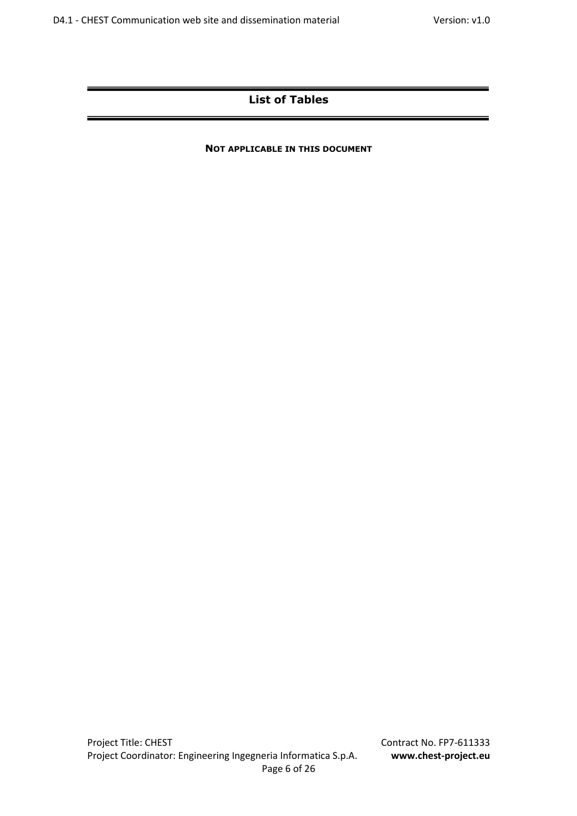## **List of Tables**

#### **NOT APPLICABLE IN THIS DOCUMENT**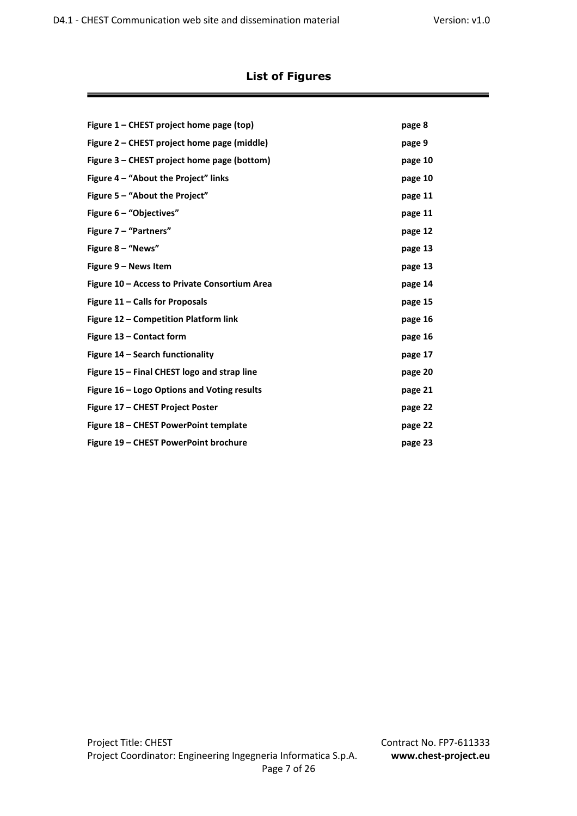## **List of Figures**

| Figure 1 – CHEST project home page (top)      | page 8  |
|-----------------------------------------------|---------|
| Figure 2 – CHEST project home page (middle)   | page 9  |
| Figure 3 – CHEST project home page (bottom)   | page 10 |
| Figure 4 - "About the Project" links          | page 10 |
| Figure $5 -$ "About the Project"              | page 11 |
| Figure 6 - "Objectives"                       | page 11 |
| Figure 7 - "Partners"                         | page 12 |
| Figure $8 -$ "News"                           | page 13 |
| Figure 9 – News Item                          | page 13 |
| Figure 10 – Access to Private Consortium Area | page 14 |
| Figure 11 - Calls for Proposals               | page 15 |
| Figure 12 – Competition Platform link         | page 16 |
| Figure 13 – Contact form                      | page 16 |
| Figure 14 – Search functionality              | page 17 |
| Figure 15 - Final CHEST logo and strap line   | page 20 |
| Figure 16 – Logo Options and Voting results   | page 21 |
| Figure 17 - CHEST Project Poster              | page 22 |
| Figure 18 – CHEST PowerPoint template         | page 22 |
| Figure 19 - CHEST PowerPoint brochure         | page 23 |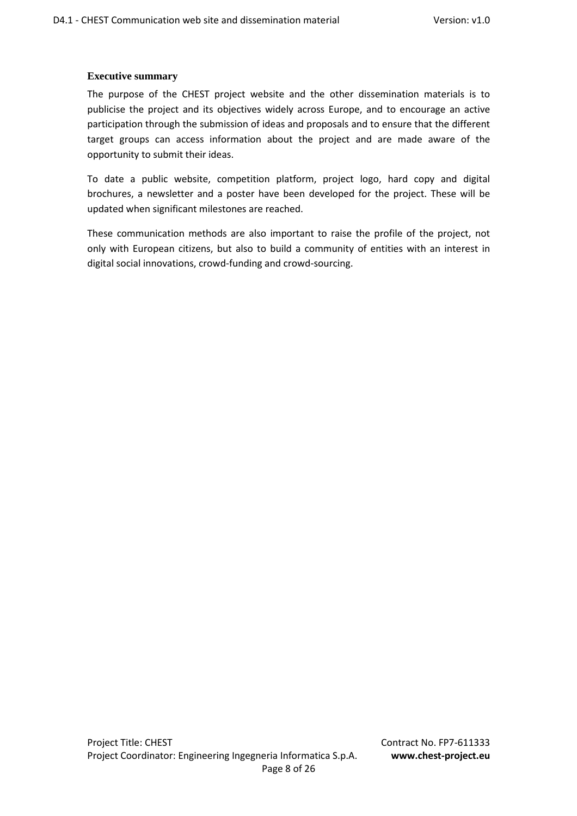#### **Executive summary**

The purpose of the CHEST project website and the other dissemination materials is to publicise the project and its objectives widely across Europe, and to encourage an active participation through the submission of ideas and proposals and to ensure that the different target groups can access information about the project and are made aware of the opportunity to submit their ideas.

To date a public website, competition platform, project logo, hard copy and digital brochures, a newsletter and a poster have been developed for the project. These will be updated when significant milestones are reached.

These communication methods are also important to raise the profile of the project, not only with European citizens, but also to build a community of entities with an interest in digital social innovations, crowd-funding and crowd-sourcing.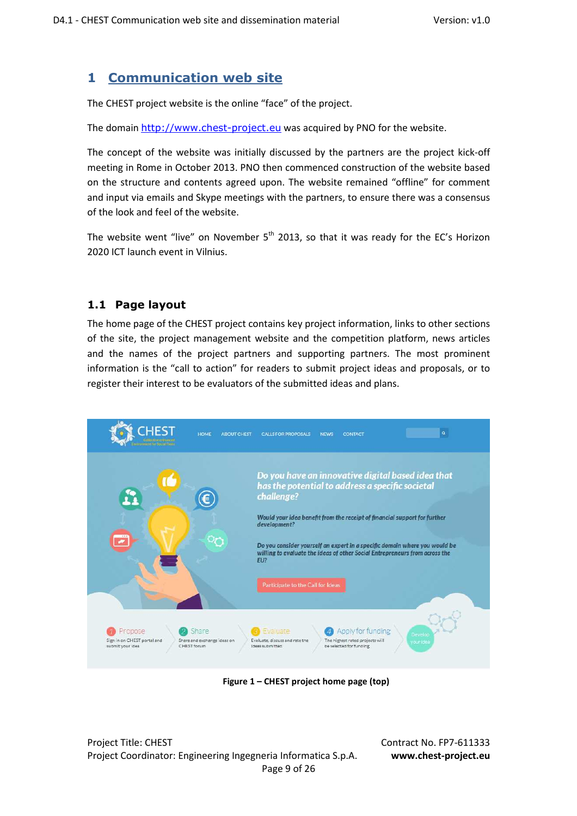## **1 Communication web site**

The CHEST project website is the online "face" of the project.

The domain http://www.chest-project.eu was acquired by PNO for the website.

The concept of the website was initially discussed by the partners are the project kick-off meeting in Rome in October 2013. PNO then commenced construction of the website based on the structure and contents agreed upon. The website remained "offline" for comment and input via emails and Skype meetings with the partners, to ensure there was a consensus of the look and feel of the website.

The website went "live" on November  $5<sup>th</sup>$  2013, so that it was ready for the EC's Horizon 2020 ICT launch event in Vilnius.

## **1.1 Page layout**

The home page of the CHEST project contains key project information, links to other sections of the site, the project management website and the competition platform, news articles and the names of the project partners and supporting partners. The most prominent information is the "call to action" for readers to submit project ideas and proposals, or to register their interest to be evaluators of the submitted ideas and plans.



 **Figure 1 – CHEST project home page (top)** 

Project Title: CHEST Contract No. FP7-611333 Project Coordinator: Engineering Ingegneria Informatica S.p.A. **www.chest-project.eu** Page 9 of 26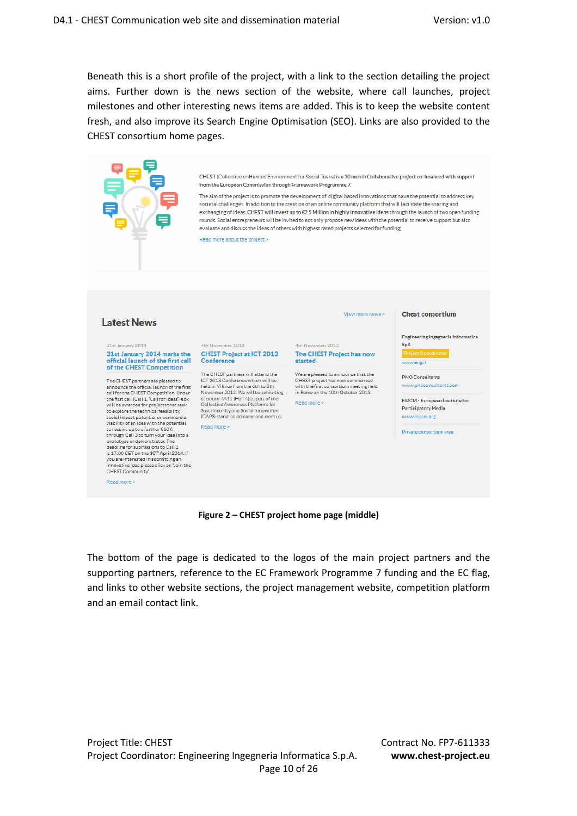Beneath this is a short profile of the project, with a link to the section detailing the project aims. Further down is the news section of the website, where call launches, project milestones and other interesting news items are added. This is to keep the website content fresh, and also improve its Search Engine Optimisation (SEO). Links are also provided to the CHEST consortium home pages.



**Figure 2 – CHEST project home page (middle)** 

The bottom of the page is dedicated to the logos of the main project partners and the supporting partners, reference to the EC Framework Programme 7 funding and the EC flag, and links to other website sections, the project management website, competition platform and an email contact link.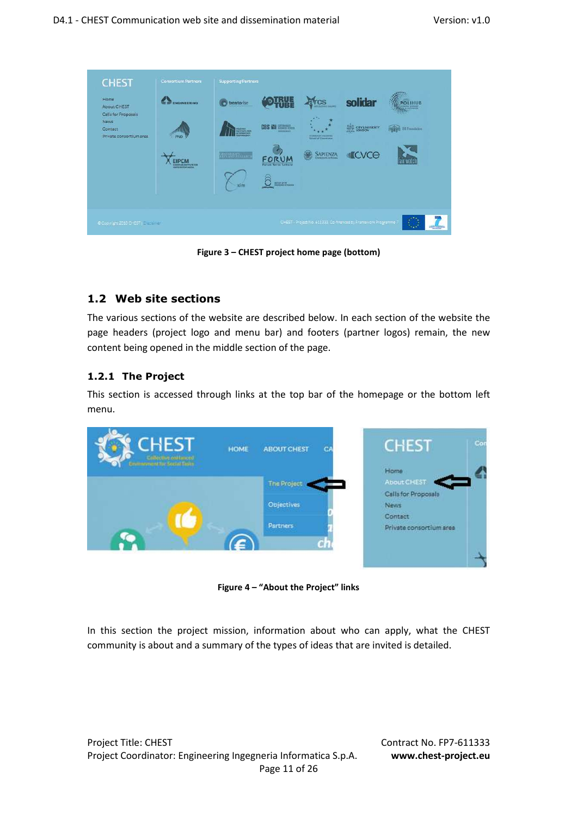| Home<br><b>About CHEST</b>                                        | ENGINEERING                                                 | trentorise      | 刪張                                    | $\mathsf{f}\text{-}\mathsf{c}\text{-}\mathsf{s}$                              | solidar                | POLIHUB             |
|-------------------------------------------------------------------|-------------------------------------------------------------|-----------------|---------------------------------------|-------------------------------------------------------------------------------|------------------------|---------------------|
| Calls for Proposals<br>News<br>Contact<br>Private consortium area | шш<br><b>PNO</b>                                            | <b>ORLESSED</b> | <b>CBS 200 Ellistration</b><br>----   | $\mathbf{r}^{\mathcal{A}}$ .<br>номенфования.<br><b>School of Convenience</b> | <b>CITY UNIVERSITY</b> | 麻<br>151 Foundation |
|                                                                   | <b>EIPCM</b><br>KUROPEAN MITOLITE PIN<br>Francisconum Mitor | <b>RANGER</b>   | FORUM<br><b>Farmer Yarra Sattleta</b> | Ω<br><b>SAPIENZA</b>                                                          | <b>ICVCO</b>           | lair watc           |
|                                                                   |                                                             | xim             | <b>Toronto McChinese</b>              |                                                                               |                        |                     |
|                                                                   |                                                             |                 |                                       |                                                                               |                        |                     |

**Figure 3 – CHEST project home page (bottom)** 

### **1.2 Web site sections**

The various sections of the website are described below. In each section of the website the page headers (project logo and menu bar) and footers (partner logos) remain, the new content being opened in the middle section of the page.

#### **1.2.1 The Project**

This section is accessed through links at the top bar of the homepage or the bottom left menu.



**Figure 4 – "About the Project" links** 

In this section the project mission, information about who can apply, what the CHEST community is about and a summary of the types of ideas that are invited is detailed.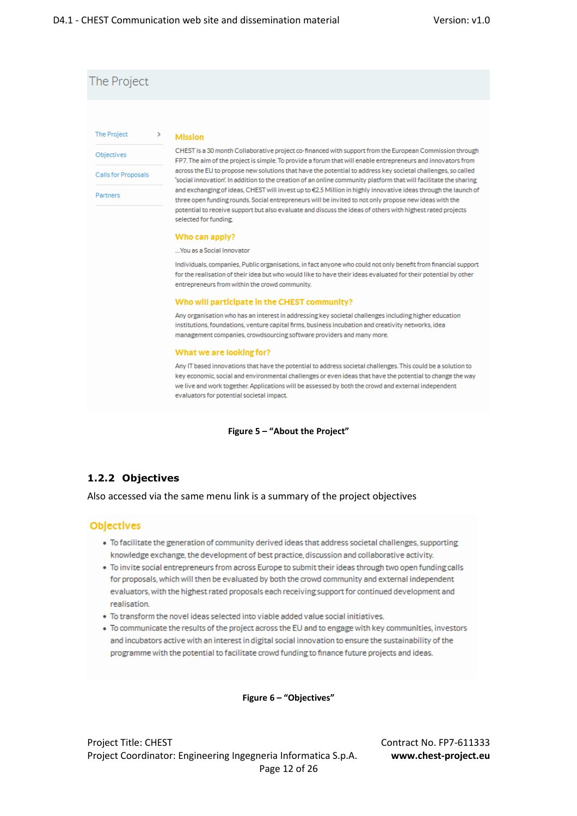## The Project

#### **The Project**

Calls for Proposals

Objectives

Partners

#### **Mission**

 $\rightarrow$ 

CHEST is a 30 month Collaborative project co-financed with support from the European Commission through FP7. The aim of the project is simple. To provide a forum that will enable entrepreneurs and innovators from across the EU to propose new solutions that have the potential to address key societal challenges, so called 'social innovation'. In addition to the creation of an online community platform that will facilitate the sharing and exchanging of ideas, CHEST will invest up to €2.5 Million in highly innovative ideas through the launch of three open funding rounds. Social entrepreneurs will be invited to not only propose new ideas with the potential to receive support but also evaluate and discuss the ideas of others with highest rated projects selected for funding.

#### Who can apply?

#### ... You as a Social Innovator

Individuals, companies, Public organisations, in fact anyone who could not only benefit from financial support for the realisation of their idea but who would like to have their ideas evaluated for their potential by other entrepreneurs from within the crowd community.

#### Who will participate in the CHEST community?

Any organisation who has an interest in addressing key societal challenges including higher education institutions, foundations, venture capital firms, business incubation and creativity networks, idea management companies, crowdsourcing software providers and many more.

#### What we are looking for?

Any IT based innovations that have the potential to address societal challenges. This could be a solution to key economic, social and environmental challenges or even ideas that have the potential to change the way we live and work together. Applications will be assessed by both the crowd and external independent evaluators for potential societal impact.

#### **Figure 5 – "About the Project"**

#### **1.2.2 Objectives**

Also accessed via the same menu link is a summary of the project objectives

#### Objectives

- · To facilitate the generation of community derived ideas that address societal challenges, supporting knowledge exchange, the development of best practice, discussion and collaborative activity.
- . To invite social entrepreneurs from across Europe to submit their ideas through two open funding calls for proposals, which will then be evaluated by both the crowd community and external independent evaluators, with the highest rated proposals each receiving support for continued development and realisation
- . To transform the novel ideas selected into viable added value social initiatives.
- · To communicate the results of the project across the EU and to engage with key communities, investors and incubators active with an interest in digital social innovation to ensure the sustainability of the programme with the potential to facilitate crowd funding to finance future projects and ideas.

**Figure 6 – "Objectives"** 

Project Title: CHEST Contract No. FP7-611333 Project Coordinator: Engineering Ingegneria Informatica S.p.A. **www.chest-project.eu** Page 12 of 26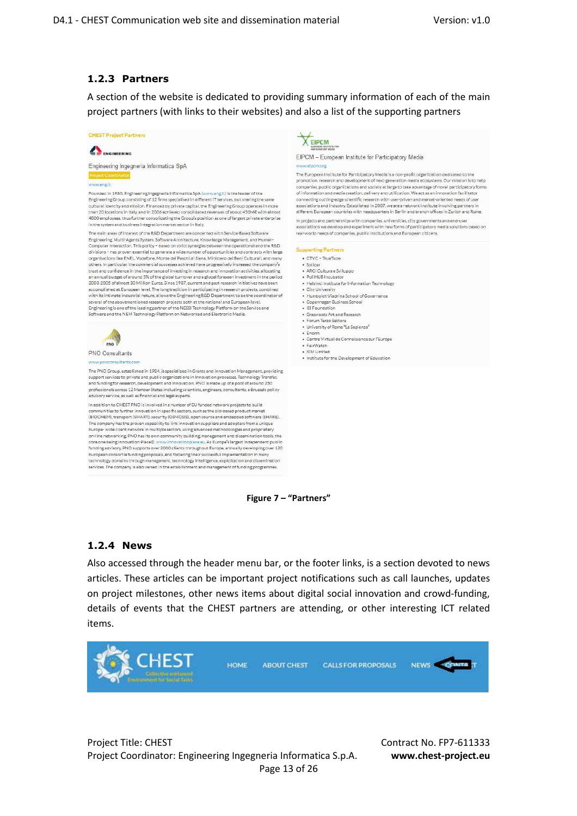#### **1.2.3 Partners**

A section of the website is dedicated to providing summary information of each of the main project partners (with links to their websites) and also a list of the supporting partners



The PNO Group, established in 1984, is specialized in Grants and Innovation Management, providing The Proto Consequence of the protocol in the specifical consequence of the specific state of the specific state in the specific or and funding for research, development and innovation. PNO is made up of a pool of around 25 advisory service, as well as financial and legal experts.

In addition to CHEST PNO is involved in a number of EU funded network projects to build<br>communities to further innovation in specific sectors, such as the bio-based product market<br>(BIOCHEM), transport (SMART), security (OS The company has the proven capability to link innovation suppliers and adopters from a unique<br>Europe-wide client network in multiple sectors, using advanced methodologies and proprietary<br>on-line networking. PNO has its own core one being Innovation Place® www.innovationplace.eu. As Europe's largest independent public funding savisory, PNO supports over 2000 clients throughout Europe, annually developing over 120<br>European consortia funding proposals, and fostering their successful implementation in many technology domains through management, technology intelligence, exploitation and dissemination services. The company is also versed in the establishment and management of funding programmes.

#### EIPCM

EIPCM - European Institute for Participatory Media

The European Institute for Participatory Media is a non-profit organization dedicated to the promotion, research and development of next-generation media ecosystems. Our mission is to help promotion), research and setting and society at large to take advantage of novel participation formulations and society at large to take advantage of novel participation formulations and society at large to take advantage associations and industry. Established in 2007, we are a network institute involving partners in different European countries with headquarters in Berlin and branch offices in Zurich and Rome

In projects and partnerships with companies, universities, city governments and end-use associations we develop and experiment with new forms of participatory media solutions based on real-world needs of companies, public institutions and European citizens.

- CTVC TrueTube
- · Solidar · ARCI Cultura e Sviluppo
- 
- The Campions Compy<br>- PoliHUB Incubator<br>- Helsinki Institute for Information Technology
- · City University . Humboldt-Viedrine School of Covernance
- Humboldt-Viadrina School of<br>• Copenhagen Business School<br>• ISI Foundation
- 
- · Grassroots Art and Research
- Forum Terzo Settore<br>• University of Rome "La Sapienza"
- $\bullet$  Enorm · Centre Virtual de Connaissance sur l'Europe
- FairWatch
- · XIM Limited
- . Institute for the Development of Education

**1.2.4 News** 

Also accessed through the header menu bar, or the footer links, is a section devoted to news articles. These articles can be important project notifications such as call launches, updates on project milestones, other news items about digital social innovation and crowd-funding, details of events that the CHEST partners are attending, or other interesting ICT related items.

**Figure 7 – "Partners"** 



Project Title: CHEST Contract No. FP7-611333 Project Coordinator: Engineering Ingegneria Informatica S.p.A. **www.chest-project.eu** Page 13 of 26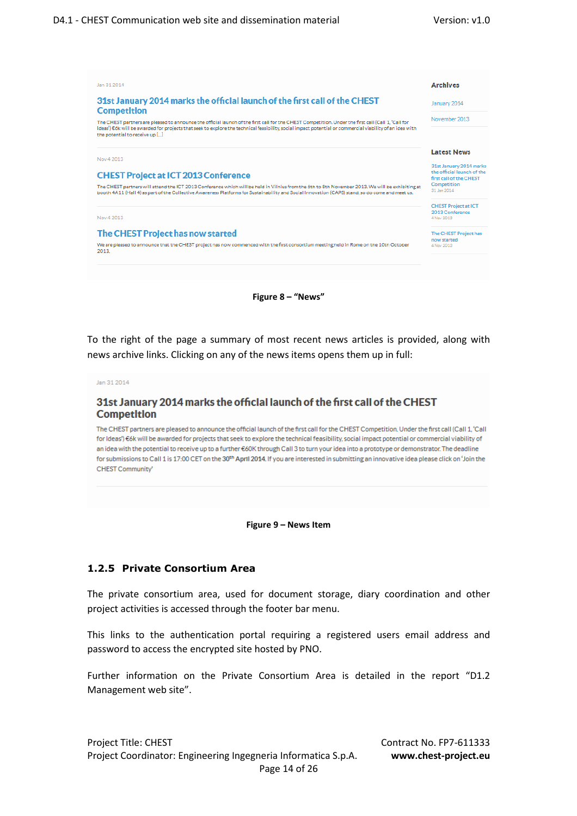

**Figure 8 – "News"** 

To the right of the page a summary of most recent news articles is provided, along with news archive links. Clicking on any of the news items opens them up in full:

Jan 31 2014

#### 31st January 2014 marks the official launch of the first call of the CHEST **Competition**

The CHEST partners are pleased to announce the official launch of the first call for the CHEST Competition. Under the first call (Call 1, 'Call for Ideas") €6k will be awarded for projects that seek to explore the technical feasibility, social impact potential or commercial viability of an idea with the potential to receive up to a further €60K through Call 3 to turn your idea into a prototype or demonstrator. The deadline for submissions to Call 1 is 17:00 CET on the 30th April 2014. If you are interested in submitting an innovative idea please click on 'Join the CHEST Community'

**Figure 9 – News Item** 

#### **1.2.5 Private Consortium Area**

The private consortium area, used for document storage, diary coordination and other project activities is accessed through the footer bar menu.

This links to the authentication portal requiring a registered users email address and password to access the encrypted site hosted by PNO.

Further information on the Private Consortium Area is detailed in the report "D1.2 Management web site".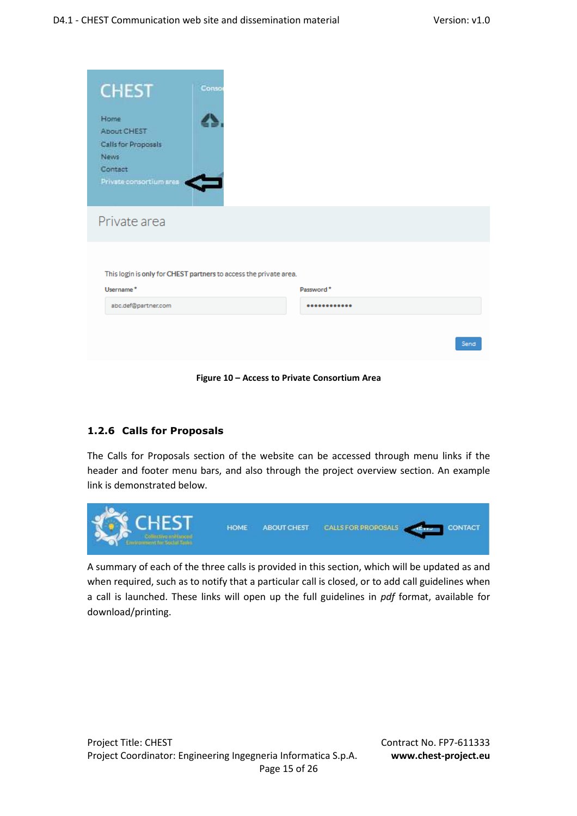| <b>CHEST</b>                       | Conso                                                             |            |  |
|------------------------------------|-------------------------------------------------------------------|------------|--|
| Home                               |                                                                   |            |  |
| About CHEST                        |                                                                   |            |  |
| Calls for Propossis<br><b>News</b> |                                                                   |            |  |
| Contact                            |                                                                   |            |  |
| Private consortium area            |                                                                   |            |  |
| Private area                       |                                                                   |            |  |
|                                    |                                                                   |            |  |
|                                    | This login is only for CHEST partners to access the private area. |            |  |
| Username*                          |                                                                   | Password * |  |
| abc.def@partner.com                |                                                                   |            |  |
|                                    |                                                                   |            |  |
|                                    |                                                                   |            |  |

**Figure 10 – Access to Private Consortium Area** 

### **1.2.6 Calls for Proposals**

The Calls for Proposals section of the website can be accessed through menu links if the header and footer menu bars, and also through the project overview section. An example link is demonstrated below.



A summary of each of the three calls is provided in this section, which will be updated as and when required, such as to notify that a particular call is closed, or to add call guidelines when a call is launched. These links will open up the full guidelines in *pdf* format, available for download/printing.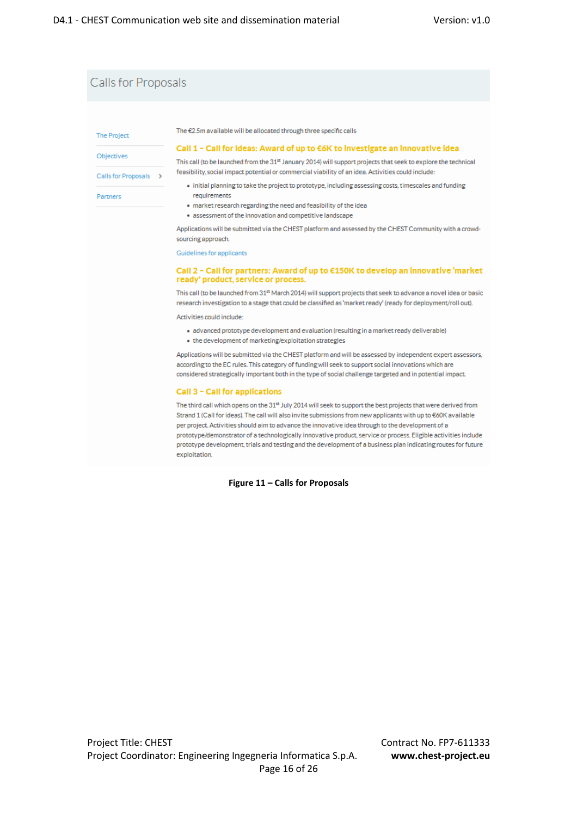## Calls for Proposals

The Project

Objectives

Calls for Proposals >

Partners

The €2.5m available will be allocated through three specific calls

#### Call 1 - Call for Ideas: Award of up to €6K to investigate an innovative idea

This call (to be launched from the 31st January 2014) will support projects that seek to explore the technical feasibility, social impact potential or commercial viability of an idea. Activities could include:

- · initial planning to take the project to prototype, including assessing costs, timescales and funding requirements
- · market research regarding the need and feasibility of the idea
- assessment of the innovation and competitive landscape

Applications will be submitted via the CHEST platform and assessed by the CHEST Community with a crowdsourcing approach.

Guidelines for applicants

#### Call 2 − Call for partners: Award of up to €150K to develop an innovative 'market ready' product, service or process.

This call (to be launched from 31<sup>st</sup> March 2014) will support projects that seek to advance a novel idea or basic research investigation to a stage that could be classified as 'market ready' (ready for deployment/roll out).

Activities could include:

· advanced prototype development and evaluation (resulting in a market ready deliverable) . the development of marketing/exploitation strategies

Applications will be submitted via the CHEST platform and will be assessed by independent expert assessors, according to the EC rules. This category of funding will seek to support social innovations which are considered strategically important both in the type of social challenge targeted and in potential impact.

#### Call 3 - Call for applications

The third call which opens on the 31<sup>st</sup> July 2014 will seek to support the best projects that were derived from Strand 1 (Call for ideas). The call will also invite submissions from new applicants with up to €60K available per project. Activities should aim to advance the innovative idea through to the development of a prototype/demonstrator of a technologically innovative product, service or process. Eligible activities include prototype development, trials and testing and the development of a business plan indicating routes for future exploitation.

**Figure 11 – Calls for Proposals**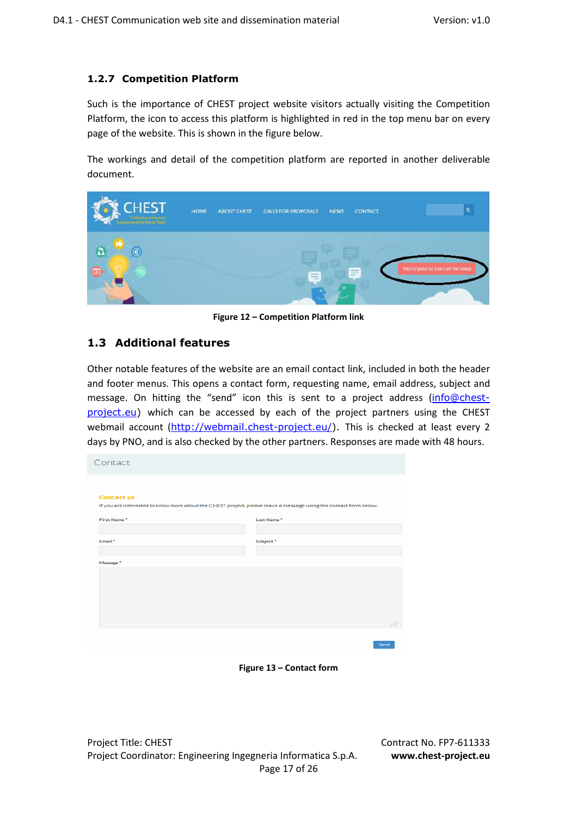### **1.2.7 Competition Platform**

Such is the importance of CHEST project website visitors actually visiting the Competition Platform, the icon to access this platform is highlighted in red in the top menu bar on every page of the website. This is shown in the figure below.

The workings and detail of the competition platform are reported in another deliverable document.



**Figure 12 – Competition Platform link** 

### **1.3 Additional features**

Other notable features of the website are an email contact link, included in both the header and footer menus. This opens a contact form, requesting name, email address, subject and message. On hitting the "send" icon this is sent to a project address (info@chestproject.eu) which can be accessed by each of the project partners using the CHEST webmail account (http://webmail.chest-project.eu/). This is checked at least every 2 days by PNO, and is also checked by the other partners. Responses are made with 48 hours.

| Contact                                                                                                          |            |
|------------------------------------------------------------------------------------------------------------------|------------|
|                                                                                                                  |            |
| <b>Contact us</b>                                                                                                |            |
| If you are interested to know more about the CHEST project, please leave a message using the contact form below. |            |
|                                                                                                                  |            |
| First Name*                                                                                                      | Last Name* |
|                                                                                                                  |            |
| Email*                                                                                                           | Subject*   |
|                                                                                                                  |            |
|                                                                                                                  |            |
| Message*                                                                                                         |            |
|                                                                                                                  |            |
|                                                                                                                  |            |
|                                                                                                                  |            |
|                                                                                                                  |            |
|                                                                                                                  |            |
|                                                                                                                  |            |
|                                                                                                                  | - : :      |
|                                                                                                                  |            |
|                                                                                                                  | Send       |

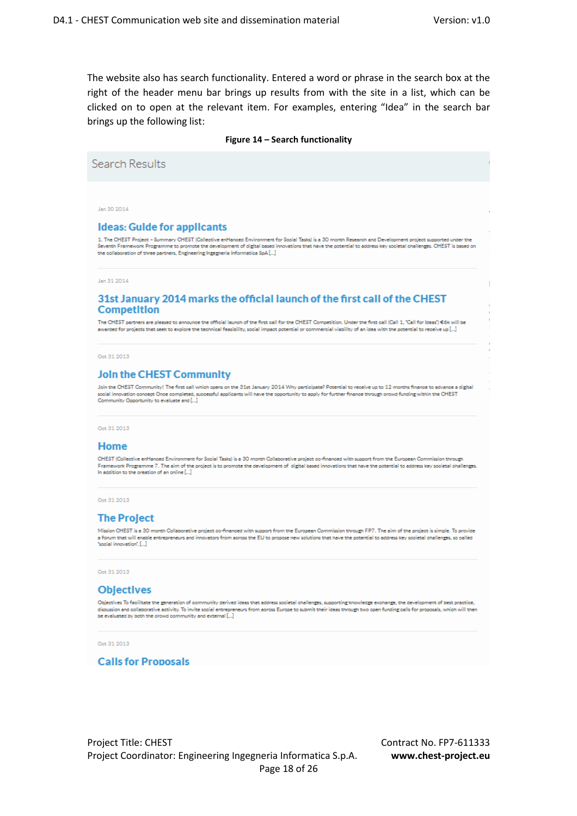The website also has search functionality. Entered a word or phrase in the search box at the right of the header menu bar brings up results from with the site in a list, which can be clicked on to open at the relevant item. For examples, entering "Idea" in the search bar brings up the following list:

#### **Figure 14 – Search functionality**

Search Results Jan 30 2014 **Ideas: Guide for applicants** 1. The CHEST Project - Summary CHEST (Collective enHanced Environment for Social Tasks) is a 30 month Research and Development project sup Seventh Framework Programme to promote the development of digital based innovations that have the potential to address key societal ohallenges. CHEST is based on the collaboration of three partners, Engineering Ingegneria Information SpA [...] Jan 31 2014 31st January 2014 marks the official launch of the first call of the CHEST **Competition** The CHEST partners are pleased to announce the official launch of the first call for the CHEST Competition. Under the first call (Call 1, "Call for Ideas") 66k will be ewarded for projects that seek to explore the technical feasibility, social impact potential or commercial viability of an idea with the potential to receive up [...] Oct 31 2013 **Join the CHEST Community** Join the CHEST Community! The first call which opens on the 31st January 2014 Why participate? Potential to receive up to 12 months finance to advance a digital social innovation concept Once completed, successful applicants will have the opportunity to apply for further finance through crowd funding within the CHEST<br>Community Opportunity to evaluate and [...] Oct 31 2013

#### Home

CHEST (Collective enHanced Environment for Social Tasks) is a 30 month Collaborative project co-financed with support from the European Commission through Framework Programme 7. The aim of the project is to promote the development of digital based innovations that have the potential to address key societal challenges. In addition to the orgation of an online [...]

Oct 31 2013

#### **The Project**

Mission CHEST is a 30 month Collaborative project co-financed with support from the European Commission through FP7. The aim of the project is simple. To provide a forum that will enable entrepreneurs and innovators from across the EU to propose new solutions that have the potential to address key societal challenges, so called 'social innovation'. [...]

Oct 31 2013

#### **Objectives**

Objectives To facilitate the generation of community derived ideas that address societal challenges, supporting knowledge exchange, the development of best practice. discussion and collaborative activity. To invite social entrepreneurs from earl so secure wave agencies and collaborative activity. To invite social entrepreneurs from across Europe to submit their ideas through two open f

Oct 31 2013

#### **Calls for Proposals**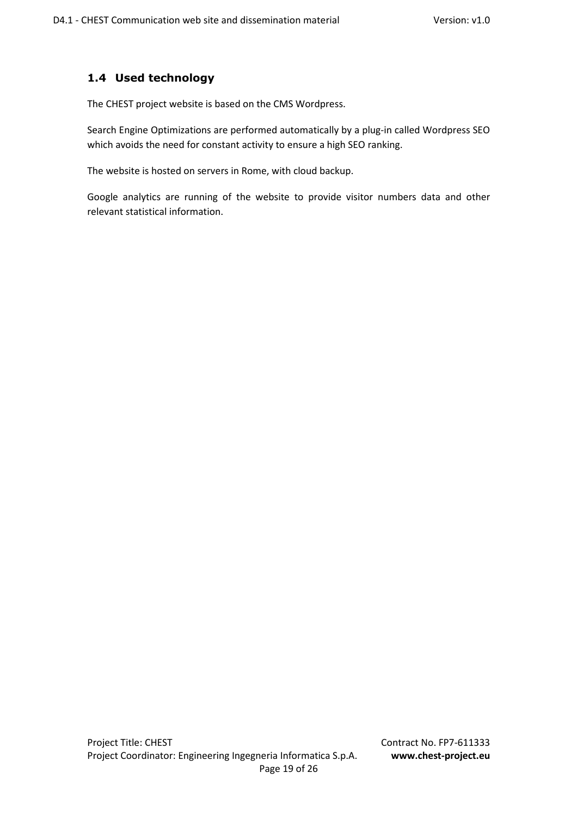## **1.4 Used technology**

The CHEST project website is based on the CMS Wordpress.

Search Engine Optimizations are performed automatically by a plug-in called Wordpress SEO which avoids the need for constant activity to ensure a high SEO ranking.

The website is hosted on servers in Rome, with cloud backup.

Google analytics are running of the website to provide visitor numbers data and other relevant statistical information.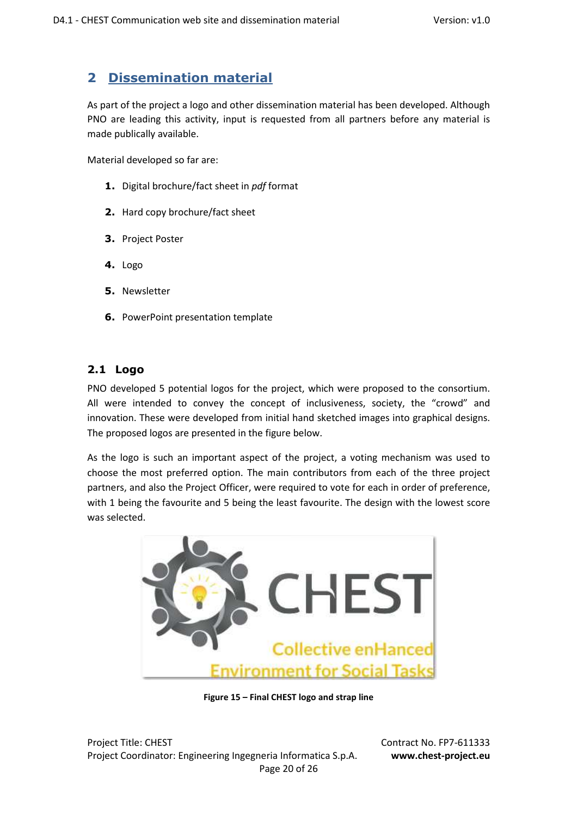# **2 Dissemination material**

As part of the project a logo and other dissemination material has been developed. Although PNO are leading this activity, input is requested from all partners before any material is made publically available.

Material developed so far are:

- **1.** Digital brochure/fact sheet in *pdf* format
- **2.** Hard copy brochure/fact sheet
- **3.** Project Poster
- **4.** Logo
- **5.** Newsletter
- **6.** PowerPoint presentation template

## **2.1 Logo**

PNO developed 5 potential logos for the project, which were proposed to the consortium. All were intended to convey the concept of inclusiveness, society, the "crowd" and innovation. These were developed from initial hand sketched images into graphical designs. The proposed logos are presented in the figure below.

As the logo is such an important aspect of the project, a voting mechanism was used to choose the most preferred option. The main contributors from each of the three project partners, and also the Project Officer, were required to vote for each in order of preference, with 1 being the favourite and 5 being the least favourite. The design with the lowest score was selected.



**Figure 15 – Final CHEST logo and strap line** 

Project Title: CHEST Contract No. FP7-611333 Project Coordinator: Engineering Ingegneria Informatica S.p.A. **www.chest-project.eu** Page 20 of 26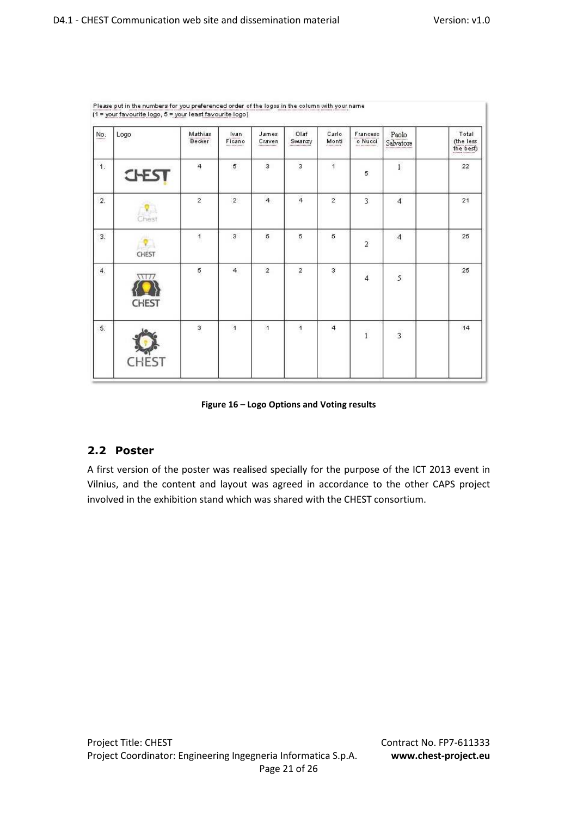| $No$ | Logo                 | Mathias<br><b>Becker</b> | $\frac{\text{Ivan}}{\text{Ficano}}$ | James<br>Craven  | Olaf<br>Swanzy | Carlo<br>Monti | Francesc<br>o Nucci     | Paolo<br>Salvatore       | Total<br>$\begin{array}{c} \text{(the less} \\ \text{the best)} \end{array}$ |
|------|----------------------|--------------------------|-------------------------------------|------------------|----------------|----------------|-------------------------|--------------------------|------------------------------------------------------------------------------|
| 1.   | <b>CHEST</b>         | $\overline{4}$           | 5                                   | 3                | 3              | 1              | 5                       | $\tilde{1}$              | 22                                                                           |
| 2.   | Chest                | $\overline{2}$           | $\overline{2}$                      | $\overline{4}$   | $\overline{4}$ | $\overline{2}$ | $\overline{\mathbf{3}}$ | $\overline{4}$           | 21                                                                           |
| 3.   | CHEST                | $\mathbf{1}$             | 3                                   | 5                | 5              | 5              | $\overline{\mathbf{2}}$ | $\overline{\mathcal{A}}$ | 25                                                                           |
| 4.   | 1117<br><b>CHEST</b> | 5                        | $\overline{4}$                      | $\boldsymbol{2}$ | $\mathbf{2}$   | $\mathbf{3}$   | $\overline{4}$          | $\overline{5}$           | 25                                                                           |
| 5.   | <b>CHEST</b>         | $\mathsf 3$              | $\overline{1}$                      | $\mathbf{1}$     | $\overline{1}$ | 4              | $\mathbf{1}$            | $\overline{\mathbf{3}}$  | 14                                                                           |

Please put in the numbers for you preferenced order of the logos in the column with your name  $\overline{A}$  =  $\overline{A}$ 

**Figure 16 – Logo Options and Voting results** 

## **2.2 Poster**

A first version of the poster was realised specially for the purpose of the ICT 2013 event in Vilnius, and the content and layout was agreed in accordance to the other CAPS project involved in the exhibition stand which was shared with the CHEST consortium.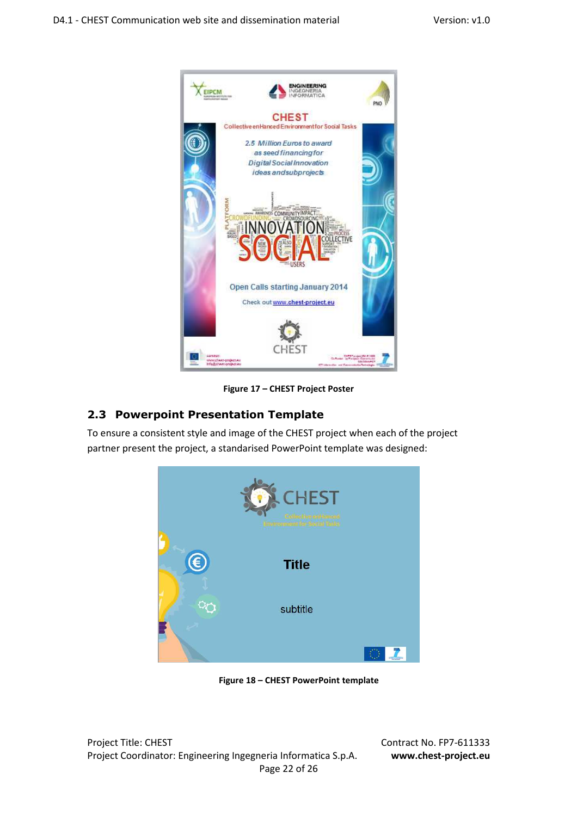

**Figure 17 – CHEST Project Poster** 

## **2.3 Powerpoint Presentation Template**

To ensure a consistent style and image of the CHEST project when each of the project partner present the project, a standarised PowerPoint template was designed:



 **Figure 18 – CHEST PowerPoint template** 

Project Title: CHEST Contract No. FP7-611333 Project Coordinator: Engineering Ingegneria Informatica S.p.A. **www.chest-project.eu** Page 22 of 26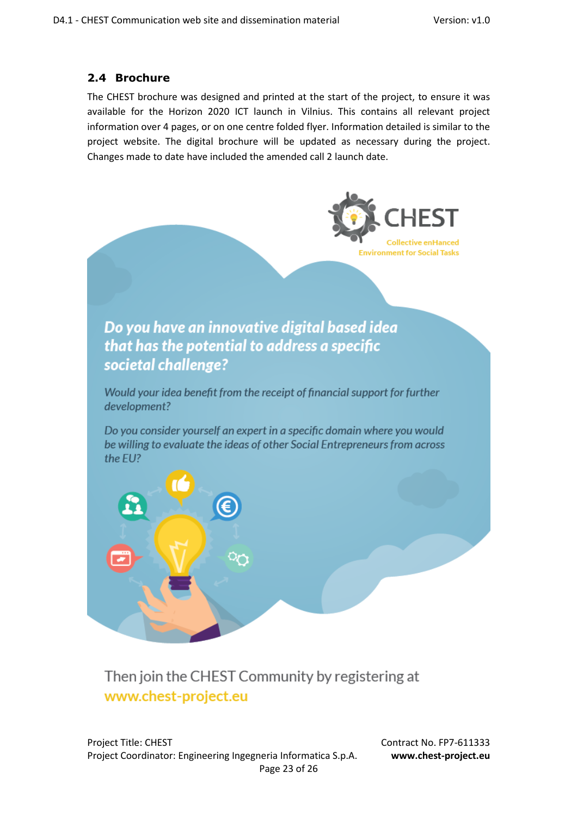## **2.4 Brochure**

The CHEST brochure was designed and printed at the start of the project, to ensure it was available for the Horizon 2020 ICT launch in Vilnius. This contains all relevant project information over 4 pages, or on one centre folded flyer. Information detailed is similar to the project website. The digital brochure will be updated as necessary during the project. Changes made to date have included the amended call 2 launch date.



# Then join the CHEST Community by registering at www.chest-project.eu

Project Title: CHEST Contract No. FP7-611333 Project Coordinator: Engineering Ingegneria Informatica S.p.A. **www.chest-project.eu** Page 23 of 26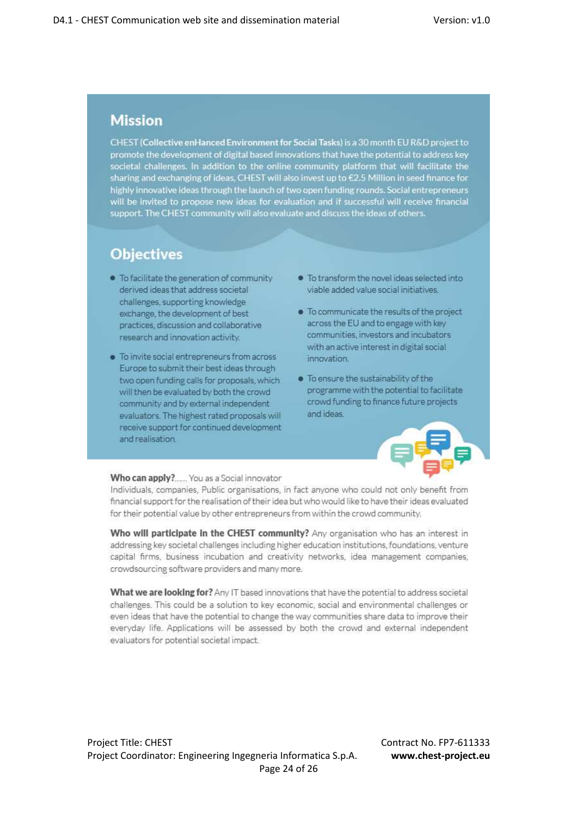# **Mission**

CHEST (Collective enHanced Environment for Social Tasks) is a 30 month EU R&D project to promote the development of digital based innovations that have the potential to address key societal challenges. In addition to the online community platform that will facilitate the sharing and exchanging of ideas, CHEST will also invest up to £2.5 Million in seed finance for highly innovative ideas through the launch of two open funding rounds. Social entrepreneurs will be invited to propose new ideas for evaluation and if successful will receive financial support. The CHEST community will also evaluate and discuss the ideas of others.

# **Objectives**

- . To facilitate the generation of community derived ideas that address societal challenges, supporting knowledge exchange, the development of best practices, discussion and collaborative research and innovation activity.
- · To invite social entrepreneurs from across Europe to submit their best ideas through two open funding calls for proposals, which will then be evaluated by both the crowd community and by external independent evaluators. The highest rated proposals will receive support for continued development and realisation.
- . To transform the novel ideas selected into viable added value social initiatives
- . To communicate the results of the project across the EU and to engage with key communities, investors and incubators with an active interest in digital social innovation.
- · To ensure the sustainability of the programme with the potential to facilitate crowd funding to finance future projects and ideas.



#### Who can apply?...... You as a Social innovator

Individuals, companies, Public organisations, in fact anyone who could not only benefit from financial support for the realisation of their idea but who would like to have their ideas evaluated for their potential value by other entrepreneurs from within the crowd community.

Who will participate in the CHEST community? Any organisation who has an interest in addressing key societal challenges including higher education institutions, foundations, venture capital firms, business incubation and creativity networks, idea management companies, crowdsourcing software providers and many more.

What we are looking for? Any IT based innovations that have the potential to address societal challenges. This could be a solution to key economic, social and environmental challenges or even ideas that have the potential to change the way communities share data to improve their everyday life. Applications will be assessed by both the crowd and external independent evaluators for potential societal impact.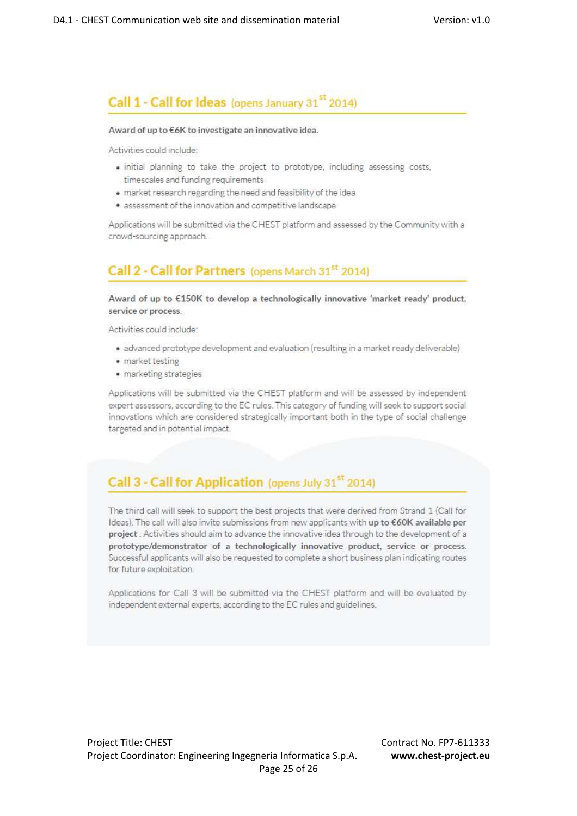## Call 1 - Call for Ideas (opens January 31<sup>st</sup> 2014)

#### Award of up to €6K to investigate an innovative idea.

Activities could include:

- · initial planning to take the project to prototype, including assessing costs, timescales and funding requirements
- . market research regarding the need and feasibility of the idea
- · assessment of the innovation and competitive landscape

Applications will be submitted via the CHEST platform and assessed by the Community with a crowd-sourcing approach.

## Call 2 - Call for Partners (opens March 31st 2014)

Award of up to €150K to develop a technologically innovative 'market ready' product, service or process.

Activities could include:

- · advanced prototype development and evaluation (resulting in a market ready deliverable)
- · market testing
- · marketing strategies

Applications will be submitted via the CHEST platform and will be assessed by independent expert assessors, according to the EC rules. This category of funding will seek to support social innovations which are considered strategically important both in the type of social challenge targeted and in potential impact.

# Call 3 - Call for Application (opens July 31st 2014)

The third call will seek to support the best projects that were derived from Strand 1 (Call for Ideas). The call will also invite submissions from new applicants with up to €60K available per project. Activities should aim to advance the innovative idea through to the development of a prototype/demonstrator of a technologically innovative product, service or process. Successful applicants will also be requested to complete a short business plan indicating routes for future exploitation.

Applications for Call 3 will be submitted via the CHEST platform and will be evaluated by independent external experts, according to the EC rules and guidelines.